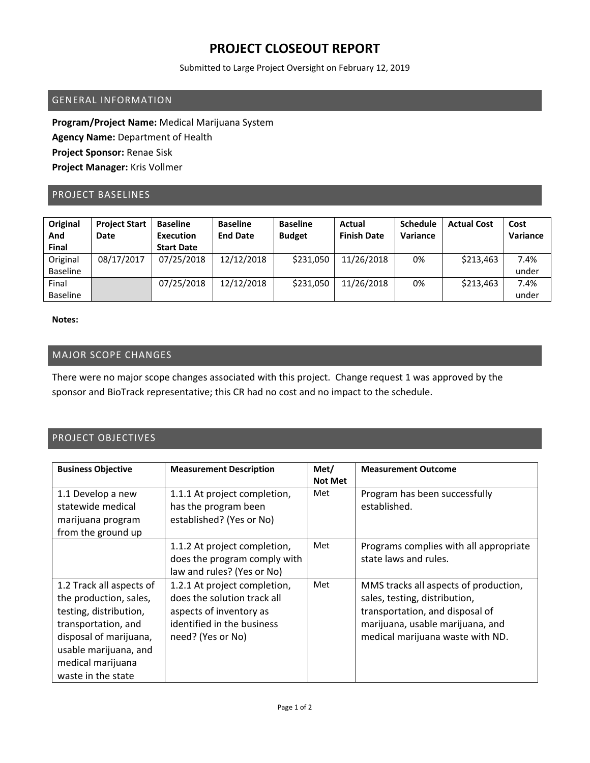## **PROJECT CLOSEOUT REPORT**

Submitted to Large Project Oversight on February 12, 2019

### GENERAL INFORMATION

**Program/Project Name:** Medical Marijuana System **Agency Name:** Department of Health **Project Sponsor:** Renae Sisk **Project Manager:** Kris Vollmer

### PROJECT BASELINES

| Original<br>And<br><b>Final</b> | <b>Project Start</b><br><b>Date</b> | <b>Baseline</b><br>Execution<br><b>Start Date</b> | <b>Baseline</b><br><b>End Date</b> | <b>Baseline</b><br><b>Budget</b> | Actual<br><b>Finish Date</b> | <b>Schedule</b><br>Variance | <b>Actual Cost</b> | Cost<br>Variance |
|---------------------------------|-------------------------------------|---------------------------------------------------|------------------------------------|----------------------------------|------------------------------|-----------------------------|--------------------|------------------|
| Original                        | 08/17/2017                          | 07/25/2018                                        | 12/12/2018                         | \$231,050                        | 11/26/2018                   | 0%                          | \$213,463          | 7.4%             |
| <b>Baseline</b>                 |                                     |                                                   |                                    |                                  |                              |                             |                    | under            |
| Final                           |                                     | 07/25/2018                                        | 12/12/2018                         | \$231,050                        | 11/26/2018                   | 0%                          | \$213,463          | 7.4%             |
| <b>Baseline</b>                 |                                     |                                                   |                                    |                                  |                              |                             |                    | under            |

#### **Notes:**

### MAJOR SCOPE CHANGES

There were no major scope changes associated with this project. Change request 1 was approved by the sponsor and BioTrack representative; this CR had no cost and no impact to the schedule.

#### PROJECT OBJECTIVES

| <b>Business Objective</b>                                                                                                                                                                         | <b>Measurement Description</b>                                                                                                            | Met/<br><b>Not Met</b> | <b>Measurement Outcome</b>                                                                                                                                                        |
|---------------------------------------------------------------------------------------------------------------------------------------------------------------------------------------------------|-------------------------------------------------------------------------------------------------------------------------------------------|------------------------|-----------------------------------------------------------------------------------------------------------------------------------------------------------------------------------|
| 1.1 Develop a new<br>statewide medical<br>marijuana program<br>from the ground up                                                                                                                 | 1.1.1 At project completion,<br>has the program been<br>established? (Yes or No)                                                          | Met                    | Program has been successfully<br>established.                                                                                                                                     |
|                                                                                                                                                                                                   | 1.1.2 At project completion,<br>does the program comply with<br>law and rules? (Yes or No)                                                | Met                    | Programs complies with all appropriate<br>state laws and rules.                                                                                                                   |
| 1.2 Track all aspects of<br>the production, sales,<br>testing, distribution,<br>transportation, and<br>disposal of marijuana,<br>usable marijuana, and<br>medical marijuana<br>waste in the state | 1.2.1 At project completion,<br>does the solution track all<br>aspects of inventory as<br>identified in the business<br>need? (Yes or No) | Met                    | MMS tracks all aspects of production,<br>sales, testing, distribution,<br>transportation, and disposal of<br>marijuana, usable marijuana, and<br>medical marijuana waste with ND. |